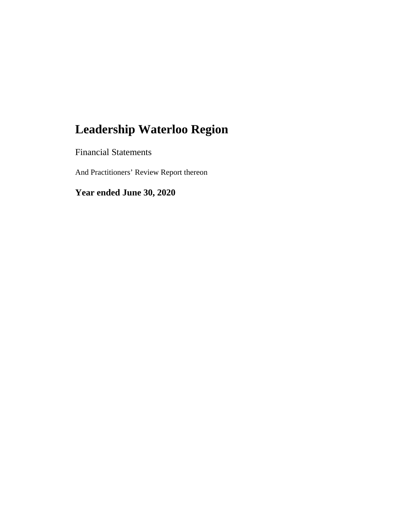Financial Statements

And Practitioners' Review Report thereon

**Year ended June 30, 2020**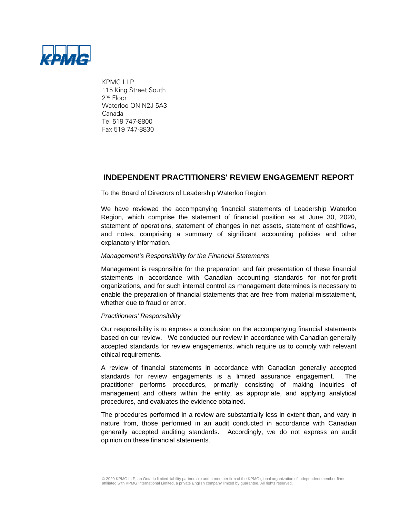

KPMG LLP 115 King Street South 2nd Floor Waterloo ON N2J 5A3 Canada Tel 519 747-8800 Fax 519 747-8830

# **INDEPENDENT PRACTITIONERS' REVIEW ENGAGEMENT REPORT**

#### To the Board of Directors of Leadership Waterloo Region

We have reviewed the accompanying financial statements of Leadership Waterloo Region, which comprise the statement of financial position as at June 30, 2020, statement of operations, statement of changes in net assets, statement of cashflows, and notes, comprising a summary of significant accounting policies and other explanatory information.

#### *Management's Responsibility for the Financial Statements*

Management is responsible for the preparation and fair presentation of these financial statements in accordance with Canadian accounting standards for not-for-profit organizations, and for such internal control as management determines is necessary to enable the preparation of financial statements that are free from material misstatement, whether due to fraud or error.

#### *Practitioners' Responsibility*

Our responsibility is to express a conclusion on the accompanying financial statements based on our review. We conducted our review in accordance with Canadian generally accepted standards for review engagements, which require us to comply with relevant ethical requirements.

A review of financial statements in accordance with Canadian generally accepted standards for review engagements is a limited assurance engagement. The practitioner performs procedures, primarily consisting of making inquiries of management and others within the entity, as appropriate, and applying analytical procedures, and evaluates the evidence obtained.

The procedures performed in a review are substantially less in extent than, and vary in nature from, those performed in an audit conducted in accordance with Canadian generally accepted auditing standards. Accordingly, we do not express an audit opinion on these financial statements.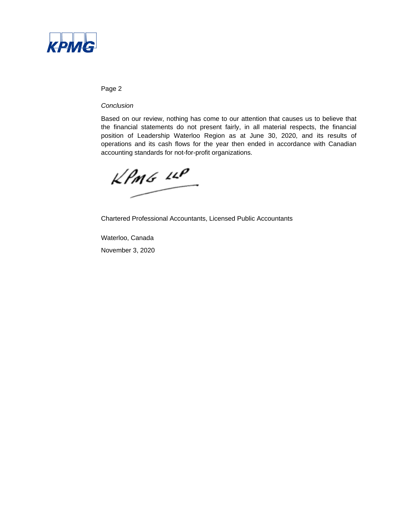

### Page 2

#### *Conclusion*

Based on our review, nothing has come to our attention that causes us to believe that the financial statements do not present fairly, in all material respects, the financial position of Leadership Waterloo Region as at June 30, 2020, and its results of operations and its cash flows for the year then ended in accordance with Canadian accounting standards for not-for-profit organizations.

 $k$ *PmG*  $10$ 

Chartered Professional Accountants, Licensed Public Accountants

Waterloo, Canada November 3, 2020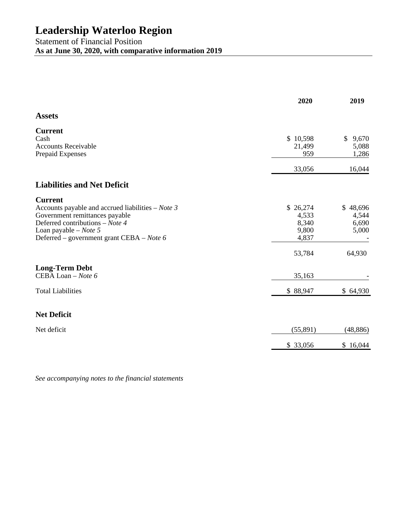# Statement of Financial Position **As at June 30, 2020, with comparative information 2019**

|                                                     | 2020      | 2019        |
|-----------------------------------------------------|-----------|-------------|
| <b>Assets</b>                                       |           |             |
| <b>Current</b>                                      |           |             |
| Cash                                                | \$10,598  | \$<br>9,670 |
| <b>Accounts Receivable</b>                          | 21,499    | 5,088       |
| Prepaid Expenses                                    | 959       | 1,286       |
|                                                     | 33,056    | 16,044      |
| <b>Liabilities and Net Deficit</b>                  |           |             |
| <b>Current</b>                                      |           |             |
| Accounts payable and accrued liabilities $-$ Note 3 | \$26,274  | \$48,696    |
| Government remittances payable                      | 4,533     | 4,544       |
| Deferred contributions – Note 4                     | 8,340     | 6,690       |
| Loan payable $-$ <i>Note</i> 5                      | 9,800     | 5,000       |
| Deferred – government grant CEBA – Note 6           | 4,837     |             |
|                                                     | 53,784    | 64,930      |
| <b>Long-Term Debt</b>                               |           |             |
| CEBA Loan - Note 6                                  | 35,163    |             |
| <b>Total Liabilities</b>                            | \$88,947  | \$64,930    |
| <b>Net Deficit</b>                                  |           |             |
|                                                     |           |             |
| Net deficit                                         | (55, 891) | (48, 886)   |
|                                                     | \$ 33,056 | \$16,044    |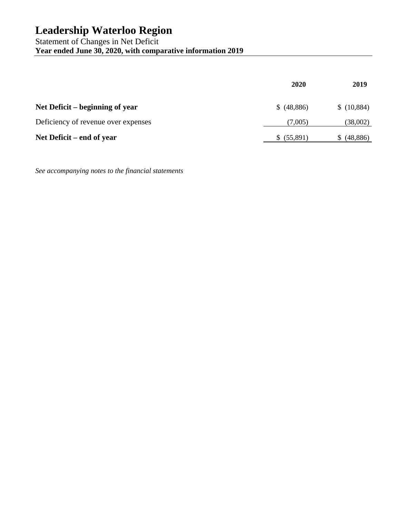Statement of Changes in Net Deficit **Year ended June 30, 2020, with comparative information 2019** 

|                                     | 2020        | 2019       |
|-------------------------------------|-------------|------------|
| Net Deficit – beginning of year     | \$ (48,886) | \$(10,884) |
| Deficiency of revenue over expenses | (7,005)     | (38,002)   |
| Net Deficit – end of year           | \$ (55,891) | (48, 886)  |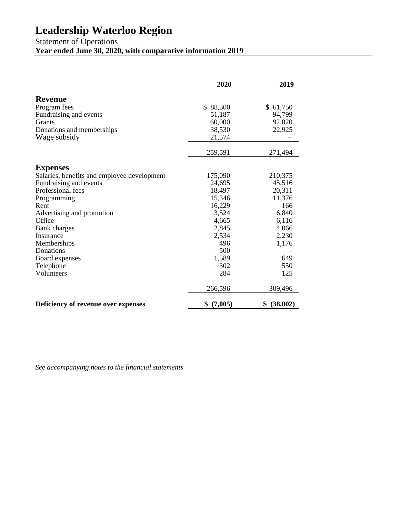Statement of Operations

**Year ended June 30, 2020, with comparative information 2019** 

|                                             | 2020          | 2019           |
|---------------------------------------------|---------------|----------------|
| <b>Revenue</b>                              |               |                |
| Program fees                                | \$88,300      | \$61,750       |
| Fundraising and events                      | 51,187        | 94,799         |
| <b>Grants</b>                               | 60,000        | 92,020         |
| Donations and memberships                   | 38,530        | 22,925         |
| Wage subsidy                                | 21,574        |                |
|                                             | 259,591       | 271,494        |
| <b>Expenses</b>                             |               |                |
| Salaries, benefits and employee development | 175,090       | 210,375        |
| Fundraising and events                      | 24,695        | 45,516         |
| Professional fees                           | 18,497        | 20,311         |
| Programming                                 | 15,346        | 11,376         |
| Rent                                        | 16,229        | 166            |
| Advertising and promotion                   | 3,524         | 6,840          |
| Office                                      | 4,665         | 6,116          |
| <b>Bank</b> charges                         | 2,845         | 4,066          |
| Insurance                                   | 2,534         | 2,230          |
| Memberships                                 | 496           | 1,176          |
| Donations                                   | 500           |                |
| Board expenses                              | 1,589         | 649            |
| Telephone                                   | 302           | 550            |
| Volunteers                                  | 284           | 125            |
|                                             | 266,596       | 309,496        |
| Deficiency of revenue over expenses         | (7,005)<br>\$ | (38,002)<br>\$ |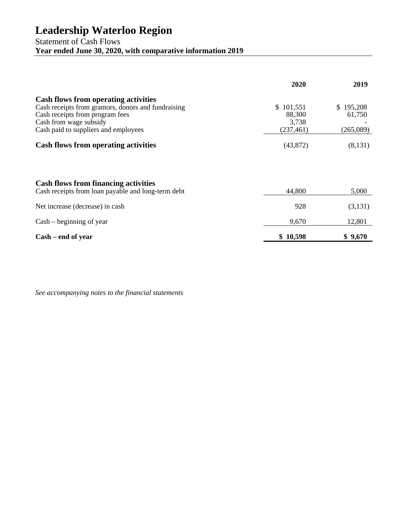Statement of Cash Flows **Year ended June 30, 2020, with comparative information 2019** 

|                                                                                                                                                                                                         | 2020                                       | 2019                             |
|---------------------------------------------------------------------------------------------------------------------------------------------------------------------------------------------------------|--------------------------------------------|----------------------------------|
| <b>Cash flows from operating activities</b><br>Cash receipts from grantors, donors and fundraising<br>Cash receipts from program fees<br>Cash from wage subsidy<br>Cash paid to suppliers and employees | \$101,551<br>88,300<br>3,738<br>(237, 461) | \$195,208<br>61,750<br>(265,089) |
| <b>Cash flows from operating activities</b>                                                                                                                                                             | (43, 872)                                  | (8,131)                          |
|                                                                                                                                                                                                         |                                            |                                  |
| <b>Cash flows from financing activities</b><br>Cash receipts from loan payable and long-term debt                                                                                                       | 44,800                                     | 5,000                            |
| Net increase (decrease) in cash                                                                                                                                                                         | 928                                        | (3,131)                          |
| $Cash - beginning of year$                                                                                                                                                                              | 9,670                                      | 12,801                           |
| Cash – end of year                                                                                                                                                                                      | \$10,598                                   | \$9,670                          |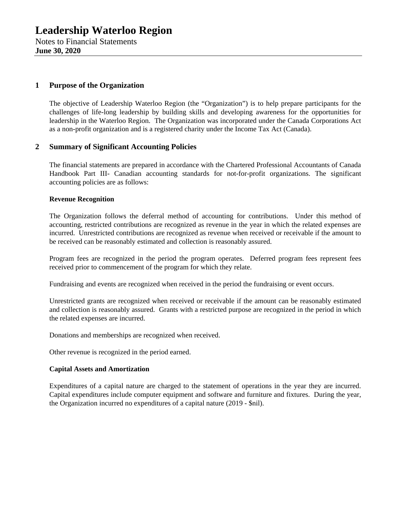# **1 Purpose of the Organization**

The objective of Leadership Waterloo Region (the "Organization") is to help prepare participants for the challenges of life-long leadership by building skills and developing awareness for the opportunities for leadership in the Waterloo Region. The Organization was incorporated under the Canada Corporations Act as a non-profit organization and is a registered charity under the Income Tax Act (Canada).

### **2 Summary of Significant Accounting Policies**

The financial statements are prepared in accordance with the Chartered Professional Accountants of Canada Handbook Part III- Canadian accounting standards for not-for-profit organizations. The significant accounting policies are as follows:

#### **Revenue Recognition**

The Organization follows the deferral method of accounting for contributions. Under this method of accounting, restricted contributions are recognized as revenue in the year in which the related expenses are incurred. Unrestricted contributions are recognized as revenue when received or receivable if the amount to be received can be reasonably estimated and collection is reasonably assured.

Program fees are recognized in the period the program operates. Deferred program fees represent fees received prior to commencement of the program for which they relate.

Fundraising and events are recognized when received in the period the fundraising or event occurs.

Unrestricted grants are recognized when received or receivable if the amount can be reasonably estimated and collection is reasonably assured. Grants with a restricted purpose are recognized in the period in which the related expenses are incurred.

Donations and memberships are recognized when received.

Other revenue is recognized in the period earned.

#### **Capital Assets and Amortization**

Expenditures of a capital nature are charged to the statement of operations in the year they are incurred. Capital expenditures include computer equipment and software and furniture and fixtures. During the year, the Organization incurred no expenditures of a capital nature (2019 - \$nil).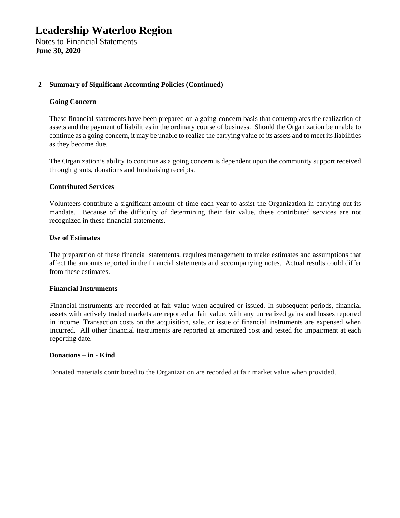### **2 Summary of Significant Accounting Policies (Continued)**

#### **Going Concern**

These financial statements have been prepared on a going-concern basis that contemplates the realization of assets and the payment of liabilities in the ordinary course of business. Should the Organization be unable to continue as a going concern, it may be unable to realize the carrying value of its assets and to meet its liabilities as they become due.

The Organization's ability to continue as a going concern is dependent upon the community support received through grants, donations and fundraising receipts.

#### **Contributed Services**

Volunteers contribute a significant amount of time each year to assist the Organization in carrying out its mandate. Because of the difficulty of determining their fair value, these contributed services are not recognized in these financial statements.

#### **Use of Estimates**

The preparation of these financial statements, requires management to make estimates and assumptions that affect the amounts reported in the financial statements and accompanying notes. Actual results could differ from these estimates.

#### **Financial Instruments**

Financial instruments are recorded at fair value when acquired or issued. In subsequent periods, financial assets with actively traded markets are reported at fair value, with any unrealized gains and losses reported in income. Transaction costs on the acquisition, sale, or issue of financial instruments are expensed when incurred. All other financial instruments are reported at amortized cost and tested for impairment at each reporting date.

#### **Donations – in - Kind**

Donated materials contributed to the Organization are recorded at fair market value when provided.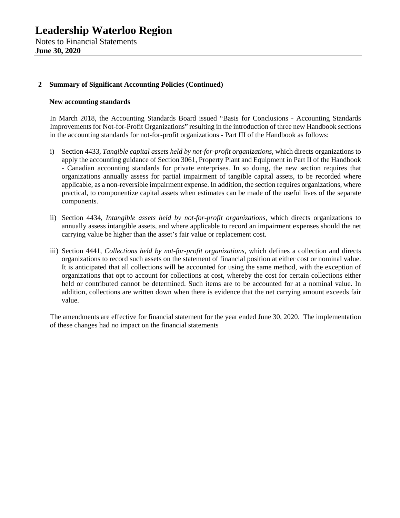### **2 Summary of Significant Accounting Policies (Continued)**

#### **New accounting standards**

In March 2018, the Accounting Standards Board issued "Basis for Conclusions - Accounting Standards Improvements for Not-for-Profit Organizations" resulting in the introduction of three new Handbook sections in the accounting standards for not-for-profit organizations - Part III of the Handbook as follows:

- i) Section 4433, *Tangible capital assets held by not-for-profit organizations*, which directs organizations to apply the accounting guidance of Section 3061, Property Plant and Equipment in Part II of the Handbook - Canadian accounting standards for private enterprises. In so doing, the new section requires that organizations annually assess for partial impairment of tangible capital assets, to be recorded where applicable, as a non-reversible impairment expense. In addition, the section requires organizations, where practical, to componentize capital assets when estimates can be made of the useful lives of the separate components.
- ii) Section 4434, *Intangible assets held by not-for-profit organizations*, which directs organizations to annually assess intangible assets, and where applicable to record an impairment expenses should the net carrying value be higher than the asset's fair value or replacement cost.
- iii) Section 4441, *Collections held by not-for-profit organizations*, which defines a collection and directs organizations to record such assets on the statement of financial position at either cost or nominal value. It is anticipated that all collections will be accounted for using the same method, with the exception of organizations that opt to account for collections at cost, whereby the cost for certain collections either held or contributed cannot be determined. Such items are to be accounted for at a nominal value. In addition, collections are written down when there is evidence that the net carrying amount exceeds fair value.

The amendments are effective for financial statement for the year ended June 30, 2020. The implementation of these changes had no impact on the financial statements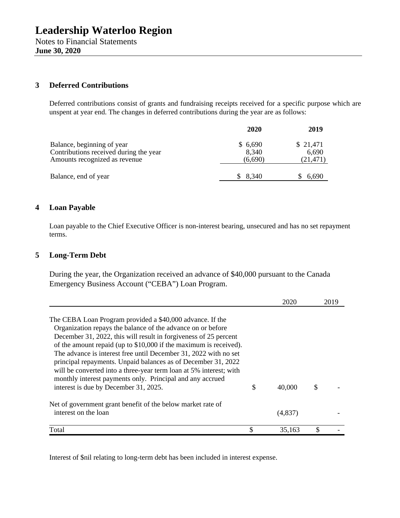**June 30, 2020** 

# **3 Deferred Contributions**

Deferred contributions consist of grants and fundraising receipts received for a specific purpose which are unspent at year end. The changes in deferred contributions during the year are as follows:

|                                                                                                       | 2020                        | 2019                           |
|-------------------------------------------------------------------------------------------------------|-----------------------------|--------------------------------|
| Balance, beginning of year<br>Contributions received during the year<br>Amounts recognized as revenue | \$6,690<br>8,340<br>(6,690) | \$21,471<br>6,690<br>(21, 471) |
| Balance, end of year                                                                                  | 8,340                       | 6,690                          |

# **4 Loan Payable**

Loan payable to the Chief Executive Officer is non-interest bearing, unsecured and has no set repayment terms.

# **5 Long-Term Debt**

During the year, the Organization received an advance of \$40,000 pursuant to the Canada Emergency Business Account ("CEBA") Loan Program.

|                                                                    | 2020         | 2019 |
|--------------------------------------------------------------------|--------------|------|
|                                                                    |              |      |
| The CEBA Loan Program provided a \$40,000 advance. If the          |              |      |
| Organization repays the balance of the advance on or before        |              |      |
| December 31, 2022, this will result in forgiveness of 25 percent   |              |      |
| of the amount repaid (up to $$10,000$ if the maximum is received). |              |      |
| The advance is interest free until December 31, 2022 with no set   |              |      |
| principal repayments. Unpaid balances as of December 31, 2022      |              |      |
| will be converted into a three-year term loan at 5% interest; with |              |      |
| monthly interest payments only. Principal and any accrued          |              |      |
| interest is due by December 31, 2025.                              | \$<br>40,000 | \$   |
| Net of government grant benefit of the below market rate of        |              |      |
| interest on the loan                                               | (4,837)      |      |
| Total                                                              | 35,163       | \$   |

Interest of \$nil relating to long-term debt has been included in interest expense.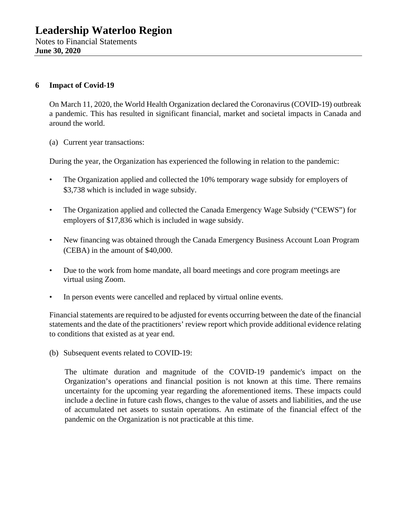# **6 Impact of Covid-19**

On March 11, 2020, the World Health Organization declared the Coronavirus (COVID-19) outbreak a pandemic. This has resulted in significant financial, market and societal impacts in Canada and around the world.

(a) Current year transactions:

During the year, the Organization has experienced the following in relation to the pandemic:

- The Organization applied and collected the 10% temporary wage subsidy for employers of \$3,738 which is included in wage subsidy.
- The Organization applied and collected the Canada Emergency Wage Subsidy ("CEWS") for employers of \$17,836 which is included in wage subsidy.
- New financing was obtained through the Canada Emergency Business Account Loan Program (CEBA) in the amount of \$40,000.
- Due to the work from home mandate, all board meetings and core program meetings are virtual using Zoom.
- In person events were cancelled and replaced by virtual online events.

Financial statements are required to be adjusted for events occurring between the date of the financial statements and the date of the practitioners' review report which provide additional evidence relating to conditions that existed as at year end.

(b) Subsequent events related to COVID-19:

The ultimate duration and magnitude of the COVID-19 pandemic's impact on the Organization's operations and financial position is not known at this time. There remains uncertainty for the upcoming year regarding the aforementioned items. These impacts could include a decline in future cash flows, changes to the value of assets and liabilities, and the use of accumulated net assets to sustain operations. An estimate of the financial effect of the pandemic on the Organization is not practicable at this time.